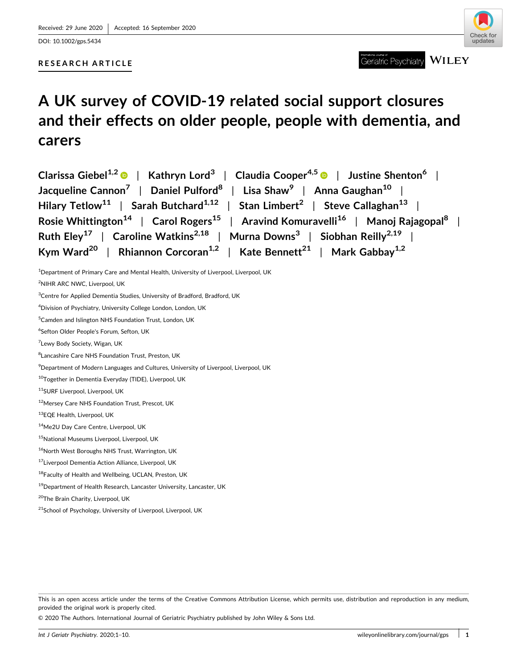DOI: [10.1002/gps.5434](https://doi.org/10.1002/gps.5434)

# **RESEARCH ARTICLE**

International Journal of <br>
Geriatric Psychiatry WILEY

# **A UK survey of COVID‐19 related social support closures and their effects on older people, people with dementia, and carers**

| Clarissa Giebel <sup>1,2</sup> $\bullet$   Kathryn Lord <sup>3</sup>   Claudia Cooper <sup>4,5</sup> $\bullet$   Justine Shenton <sup>6</sup> |
|-----------------------------------------------------------------------------------------------------------------------------------------------|
| Jacqueline Cannon <sup>7</sup>   Daniel Pulford <sup>8</sup>   Lisa Shaw <sup>9</sup>   Anna Gaughan <sup>10</sup>                            |
| Hilary Tetlow <sup>11</sup>   Sarah Butchard <sup>1,12</sup>   Stan Limbert <sup>2</sup>   Steve Callaghan <sup>13</sup>                      |
| Rosie Whittington <sup>14</sup>   Carol Rogers <sup>15</sup>   Aravind Komuravelli <sup>16</sup>   Manoj Rajagopal <sup>8</sup>               |
| Ruth Eley <sup>17</sup>   Caroline Watkins <sup>2,18</sup>   Murna Downs <sup>3</sup>   Siobhan Reilly <sup>2,19</sup>                        |
| Kym Ward <sup>20</sup>   Rhiannon Corcoran <sup>1,2</sup>   Kate Bennett <sup>21</sup>   Mark Gabbay <sup>1,2</sup>                           |

<sup>1</sup>Department of Primary Care and Mental Health, University of Liverpool, Liverpool, UK

<sup>2</sup>NIHR ARC NWC, Liverpool, UK

4 Division of Psychiatry, University College London, London, UK

5 Camden and Islington NHS Foundation Trust, London, UK

9 Department of Modern Languages and Cultures, University of Liverpool, Liverpool, UK

10Together in Dementia Everyday (TIDE), Liverpool, UK

11SURF Liverpool, Liverpool, UK

12Mersey Care NHS Foundation Trust, Prescot, UK

13EQE Health, Liverpool, UK

© 2020 The Authors. International Journal of Geriatric Psychiatry published by John Wiley & Sons Ltd.

<sup>&</sup>lt;sup>3</sup>Centre for Applied Dementia Studies, University of Bradford, Bradford, UK

<sup>6</sup> Sefton Older People's Forum, Sefton, UK

<sup>&</sup>lt;sup>7</sup>Lewy Body Society, Wigan, UK

<sup>&</sup>lt;sup>8</sup> Lancashire Care NHS Foundation Trust, Preston, UK

<sup>14</sup>Me2U Day Care Centre, Liverpool, UK

<sup>&</sup>lt;sup>15</sup>National Museums Liverpool, Liverpool, UK

<sup>&</sup>lt;sup>16</sup>North West Boroughs NHS Trust, Warrington, UK

<sup>17</sup>Liverpool Dementia Action Alliance, Liverpool, UK

<sup>18</sup>Faculty of Health and Wellbeing, UCLAN, Preston, UK

<sup>&</sup>lt;sup>19</sup>Department of Health Research, Lancaster University, Lancaster, UK

<sup>20</sup>The Brain Charity, Liverpool, UK

<sup>&</sup>lt;sup>21</sup>School of Psychology, University of Liverpool, Liverpool, UK

This is an open access article under the terms of the Creative Commons Attribution License, which permits use, distribution and reproduction in any medium, provided the original work is properly cited.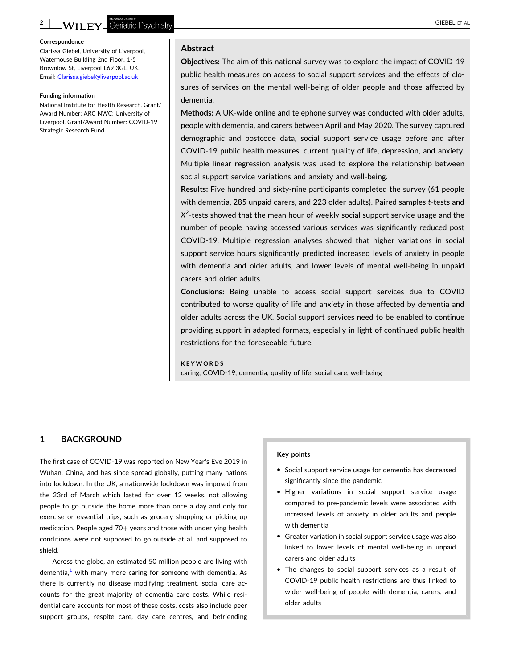Clarissa Giebel, University of Liverpool, Waterhouse Building 2nd Floor, 1‐5 Brownlow St, Liverpool L69 3GL, UK. Email: [Clarissa.giebel@liverpool.ac.uk](mailto:Clarissa.giebel@liverpool.ac.uk)

#### **Funding information**

National Institute for Health Research, Grant/ Award Number: ARC NWC; University of Liverpool, Grant/Award Number: COVID‐19 Strategic Research Fund

# **Abstract**

**Objectives:** The aim of this national survey was to explore the impact of COVID‐19 public health measures on access to social support services and the effects of closures of services on the mental well‐being of older people and those affected by dementia.

**Methods:** A UK‐wide online and telephone survey was conducted with older adults, people with dementia, and carers between April and May 2020. The survey captured demographic and postcode data, social support service usage before and after COVID‐19 public health measures, current quality of life, depression, and anxiety. Multiple linear regression analysis was used to explore the relationship between social support service variations and anxiety and well-being.

**Results:** Five hundred and sixty‐nine participants completed the survey (61 people with dementia, 285 unpaid carers, and 223 older adults). Paired samples *t*‐tests and *X*2 ‐tests showed that the mean hour of weekly social support service usage and the number of people having accessed various services was significantly reduced post COVID‐19. Multiple regression analyses showed that higher variations in social support service hours significantly predicted increased levels of anxiety in people with dementia and older adults, and lower levels of mental well‐being in unpaid carers and older adults.

**Conclusions:** Being unable to access social support services due to COVID contributed to worse quality of life and anxiety in those affected by dementia and older adults across the UK. Social support services need to be enabled to continue providing support in adapted formats, especially in light of continued public health restrictions for the foreseeable future.

#### **KEYWORDS**

caring, COVID‐19, dementia, quality of life, social care, well‐being

# **1** <sup>|</sup> **BACKGROUND**

The first case of COVID‐19 was reported on New Year's Eve 2019 in Wuhan, China, and has since spread globally, putting many nations into lockdown. In the UK, a nationwide lockdown was imposed from the 23rd of March which lasted for over 12 weeks, not allowing people to go outside the home more than once a day and only for exercise or essential trips, such as grocery shopping or picking up medication. People aged  $70+$  years and those with underlying health conditions were not supposed to go outside at all and supposed to shield.

Across the globe, an estimated 50 million people are living with dementia, $<sup>1</sup>$  with many more caring for someone with dementia. As</sup> there is currently no disease modifying treatment, social care accounts for the great majority of dementia care costs. While residential care accounts for most of these costs, costs also include peer support groups, respite care, day care centres, and befriending

#### **Key points**

- � Social support service usage for dementia has decreased significantly since the pandemic
- � Higher variations in social support service usage compared to pre‐pandemic levels were associated with increased levels of anxiety in older adults and people with dementia
- � Greater variation in social support service usage was also linked to lower levels of mental well‐being in unpaid carers and older adults
- � The changes to social support services as a result of COVID‐19 public health restrictions are thus linked to wider well-being of people with dementia, carers, and older adults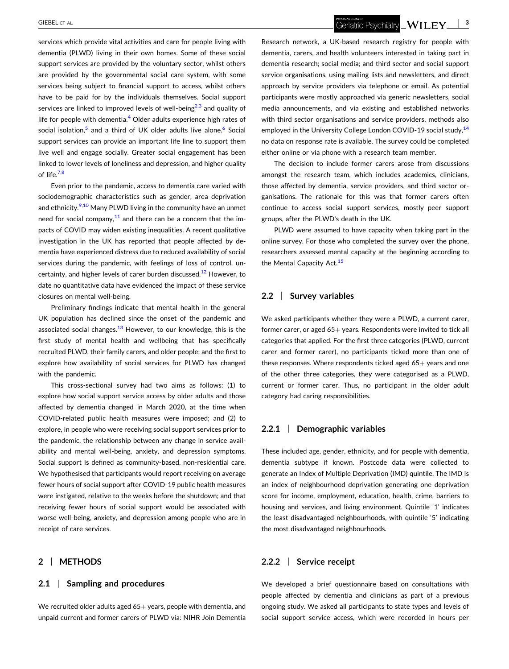services which provide vital activities and care for people living with dementia (PLWD) living in their own homes. Some of these social support services are provided by the voluntary sector, whilst others are provided by the governmental social care system, with some services being subject to financial support to access, whilst others have to be paid for by the individuals themselves. Social support services are linked to improved levels of well-being<sup>[2,3](#page-9-0)</sup> and quality of life for people with dementia.<sup>4</sup> Older adults experience high rates of social isolation,<sup>[5](#page-9-0)</sup> and a third of UK older adults live alone.<sup>6</sup> Social support services can provide an important life line to support them live well and engage socially. Greater social engagement has been linked to lower levels of loneliness and depression, and higher quality of life. $7,8$ 

Even prior to the pandemic, access to dementia care varied with sociodemographic characteristics such as gender, area deprivation and ethnicity.<sup>[9,10](#page-9-0)</sup> Many PLWD living in the community have an unmet need for social company, $11$  and there can be a concern that the impacts of COVID may widen existing inequalities. A recent qualitative investigation in the UK has reported that people affected by dementia have experienced distress due to reduced availability of social services during the pandemic, with feelings of loss of control, un-certainty, and higher levels of carer burden discussed.<sup>[12](#page-9-0)</sup> However, to date no quantitative data have evidenced the impact of these service closures on mental well‐being.

Preliminary findings indicate that mental health in the general UK population has declined since the onset of the pandemic and associated social changes. $13$  However, to our knowledge, this is the first study of mental health and wellbeing that has specifically recruited PLWD, their family carers, and older people; and the first to explore how availability of social services for PLWD has changed with the pandemic.

This cross‐sectional survey had two aims as follows: (1) to explore how social support service access by older adults and those affected by dementia changed in March 2020, at the time when COVID‐related public health measures were imposed; and (2) to explore, in people who were receiving social support services prior to the pandemic, the relationship between any change in service availability and mental well‐being, anxiety, and depression symptoms. Social support is defined as community-based, non-residential care. We hypothesised that participants would report receiving on average fewer hours of social support after COVID‐19 public health measures were instigated, relative to the weeks before the shutdown; and that receiving fewer hours of social support would be associated with worse well‐being, anxiety, and depression among people who are in receipt of care services.

# **2** <sup>|</sup> **METHODS**

## **2.1** <sup>|</sup> **Sampling and procedures**

We recruited older adults aged  $65+$  years, people with dementia, and unpaid current and former carers of PLWD via: NIHR Join Dementia Research network, a UK‐based research registry for people with dementia, carers, and health volunteers interested in taking part in dementia research; social media; and third sector and social support service organisations, using mailing lists and newsletters, and direct approach by service providers via telephone or email. As potential participants were mostly approached via generic newsletters, social media announcements, and via existing and established networks with third sector organisations and service providers, methods also employed in the University College London COVID-19 social study,<sup>[14](#page-9-0)</sup> no data on response rate is available. The survey could be completed either online or via phone with a research team member.

The decision to include former carers arose from discussions amongst the research team, which includes academics, clinicians, those affected by dementia, service providers, and third sector organisations. The rationale for this was that former carers often continue to access social support services, mostly peer support groups, after the PLWD's death in the UK.

PLWD were assumed to have capacity when taking part in the online survey. For those who completed the survey over the phone, researchers assessed mental capacity at the beginning according to the Mental Capacity Act.<sup>[15](#page-9-0)</sup>

# **2.2** <sup>|</sup> **Survey variables**

We asked participants whether they were a PLWD, a current carer, former carer, or aged  $65+$  years. Respondents were invited to tick all categories that applied. For the first three categories (PLWD, current carer and former carer), no participants ticked more than one of these responses. Where respondents ticked aged  $65+$  years and one of the other three categories, they were categorised as a PLWD, current or former carer. Thus, no participant in the older adult category had caring responsibilities.

# **2.2.1** <sup>|</sup> **Demographic variables**

These included age, gender, ethnicity, and for people with dementia, dementia subtype if known. Postcode data were collected to generate an Index of Multiple Deprivation (IMD) quintile. The IMD is an index of neighbourhood deprivation generating one deprivation score for income, employment, education, health, crime, barriers to housing and services, and living environment. Quintile '1' indicates the least disadvantaged neighbourhoods, with quintile '5' indicating the most disadvantaged neighbourhoods.

# **2.2.2** <sup>|</sup> **Service receipt**

We developed a brief questionnaire based on consultations with people affected by dementia and clinicians as part of a previous ongoing study. We asked all participants to state types and levels of social support service access, which were recorded in hours per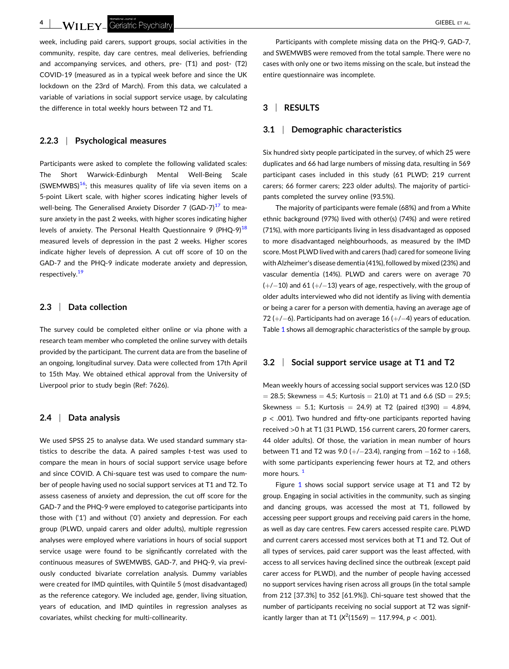LA TILEY Geriatric Psychiatry La Computer of the Second State of the Second State of the Second State of AL.

week, including paid carers, support groups, social activities in the community, respite, day care centres, meal deliveries, befriending and accompanying services, and others, pre‐ (T1) and post‐ (T2) COVID‐19 (measured as in a typical week before and since the UK lockdown on the 23rd of March). From this data, we calculated a variable of variations in social support service usage, by calculating the difference in total weekly hours between T2 and T1.

# **2.2.3** <sup>|</sup> **Psychological measures**

Participants were asked to complete the following validated scales: The Short Warwick‐Edinburgh Mental Well‐Being Scale (SWEMWBS) $16$ ; this measures quality of life via seven items on a 5‐point Likert scale, with higher scores indicating higher levels of well-being. The Generalised Anxiety Disorder 7 (GAD-7) $17$  to measure anxiety in the past 2 weeks, with higher scores indicating higher levels of anxiety. The Personal Health Questionnaire 9 (PHQ-9)<sup>18</sup> measured levels of depression in the past 2 weeks. Higher scores indicate higher levels of depression. A cut off score of 10 on the GAD‐7 and the PHQ‐9 indicate moderate anxiety and depression, respectively.<sup>[19](#page-9-0)</sup>

# **2.3** <sup>|</sup> **Data collection**

The survey could be completed either online or via phone with a research team member who completed the online survey with details provided by the participant. The current data are from the baseline of an ongoing, longitudinal survey. Data were collected from 17th April to 15th May. We obtained ethical approval from the University of Liverpool prior to study begin (Ref: 7626).

# **2.4** <sup>|</sup> **Data analysis**

We used SPSS 25 to analyse data. We used standard summary statistics to describe the data. A paired samples *t*‐test was used to compare the mean in hours of social support service usage before and since COVID. A Chi-square test was used to compare the number of people having used no social support services at T1 and T2. To assess caseness of anxiety and depression, the cut off score for the GAD‐7 and the PHQ‐9 were employed to categorise participants into those with ('1') and without ('0') anxiety and depression. For each group (PLWD, unpaid carers and older adults), multiple regression analyses were employed where variations in hours of social support service usage were found to be significantly correlated with the continuous measures of SWEMWBS, GAD‐7, and PHQ‐9, via previously conducted bivariate correlation analysis. Dummy variables were created for IMD quintiles, with Quintile 5 (most disadvantaged) as the reference category. We included age, gender, living situation, years of education, and IMD quintiles in regression analyses as covariates, whilst checking for multi‐collinearity.

Participants with complete missing data on the PHQ‐9, GAD‐7, and SWEMWBS were removed from the total sample. There were no cases with only one or two items missing on the scale, but instead the entire questionnaire was incomplete.

# **3** <sup>|</sup> **RESULTS**

#### **3.1** <sup>|</sup> **Demographic characteristics**

Six hundred sixty people participated in the survey, of which 25 were duplicates and 66 had large numbers of missing data, resulting in 569 participant cases included in this study (61 PLWD; 219 current carers; 66 former carers; 223 older adults). The majority of participants completed the survey online (93.5%).

The majority of participants were female (68%) and from a White ethnic background (97%) lived with other(s) (74%) and were retired (71%), with more participants living in less disadvantaged as opposed to more disadvantaged neighbourhoods, as measured by the IMD score. Most PLWD lived with and carers (had) cared for someone living with Alzheimer's disease dementia (41%), followed by mixed (23%) and vascular dementia (14%). PLWD and carers were on average 70  $(+/-10)$  and 61 ( $+/-13$ ) years of age, respectively, with the group of older adults interviewed who did not identify as living with dementia or being a carer for a person with dementia, having an average age of 72  $(+/-6)$ . Participants had on average 16  $(+/-4)$  years of education. Table [1](#page-4-0) shows all demographic characteristics of the sample by group.

#### **3.2** <sup>|</sup> **Social support service usage at T1 and T2**

Mean weekly hours of accessing social support services was 12.0 (SD  $=$  28.5; Skewness  $=$  4.5; Kurtosis  $=$  21.0) at T1 and 6.6 (SD  $=$  29.5; Skewness  $= 5.1$ ; Kurtosis  $= 24.9$ ) at T2 (paired  $t(390) = 4.894$ , *p* < .001). Two hundred and fifty‐one participants reported having received >0 h at T1 (31 PLWD, 156 current carers, 20 former carers, 44 older adults). Of those, the variation in mean number of hours between T1 and T2 was 9.0 (+/-23.4), ranging from  $-162$  to  $+168$ , with some participants experiencing fewer hours at T2, and others more hours.<sup>[1](#page-8-0)</sup>

Figure [1](#page-5-0) shows social support service usage at T1 and T2 by group. Engaging in social activities in the community, such as singing and dancing groups, was accessed the most at T1, followed by accessing peer support groups and receiving paid carers in the home, as well as day care centres. Few carers accessed respite care. PLWD and current carers accessed most services both at T1 and T2. Out of all types of services, paid carer support was the least affected, with access to all services having declined since the outbreak (except paid carer access for PLWD), and the number of people having accessed no support services having risen across all groups (in the total sample from 212 [37.3%] to 352 [61.9%]). Chi‐square test showed that the number of participants receiving no social support at T2 was significantly larger than at T1  $(X^2(1569) = 117.994, p < .001)$ .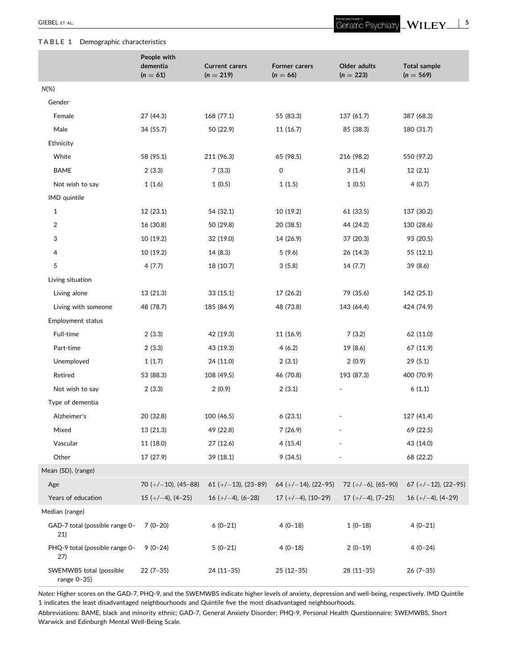# <span id="page-4-0"></span>**TABLE 1** Demographic characteristics

|                                        | People with             |                                      |                                    |                             |                                    |
|----------------------------------------|-------------------------|--------------------------------------|------------------------------------|-----------------------------|------------------------------------|
|                                        | dementia<br>$(n = 61)$  | <b>Current carers</b><br>$(n = 219)$ | <b>Former carers</b><br>$(n = 66)$ | Older adults<br>$(n = 223)$ | <b>Total sample</b><br>$(n = 569)$ |
| $N(\%)$                                |                         |                                      |                                    |                             |                                    |
| Gender                                 |                         |                                      |                                    |                             |                                    |
| Female                                 | 27 (44.3)               | 168 (77.1)                           | 55 (83.3)                          | 137 (61.7)                  | 387 (68.3)                         |
| Male                                   | 34 (55.7)               | 50 (22.9)                            | 11 (16.7)                          | 85 (38.3)                   | 180 (31.7)                         |
| Ethnicity                              |                         |                                      |                                    |                             |                                    |
| White                                  | 58 (95.1)               | 211 (96.3)                           | 65 (98.5)                          | 216 (98.2)                  | 550 (97.2)                         |
| <b>BAME</b>                            | 2(3.3)                  | 7(3.3)                               | 0                                  | 3(1.4)                      | 12(2.1)                            |
| Not wish to say                        | 1(1.6)                  | 1(0.5)                               | 1(1.5)                             | 1(0.5)                      | 4(0.7)                             |
| IMD quintile                           |                         |                                      |                                    |                             |                                    |
| $\mathbf{1}$                           | 12 (23.1)               | 54 (32.1)                            | 10 (19.2)                          | 61 (33.5)                   | 137 (30.2)                         |
| 2                                      | 16 (30.8)               | 50 (29.8)                            | 20 (38.5)                          | 44 (24.2)                   | 130 (28.6)                         |
| 3                                      | 10 (19.2)               | 32 (19.0)                            | 14 (26.9)                          | 37 (20.3)                   | 93 (20.5)                          |
| 4                                      | 10 (19.2)               | 14 (8.3)                             | 5(9.6)                             | 26 (14.3)                   | 55 (12.1)                          |
| 5                                      | 4 (7.7)                 | 18 (10.7)                            | 3(5.8)                             | 14 (7.7)                    | 39 (8.6)                           |
| Living situation                       |                         |                                      |                                    |                             |                                    |
| Living alone                           | 13 (21.3)               | 33(15.1)                             | 17 (26.2)                          | 79 (35.6)                   | 142 (25.1)                         |
| Living with someone                    | 48 (78.7)               | 185 (84.9)                           | 48 (73.8)                          | 143 (64.4)                  | 424 (74.9)                         |
| Employment status                      |                         |                                      |                                    |                             |                                    |
| Full-time                              | 2(3.3)                  | 42 (19.3)                            | 11 (16.9)                          | 7(3.2)                      | 62 (11.0)                          |
| Part-time                              | 2(3.3)                  | 43 (19.3)                            | 4(6.2)                             | 19 (8.6)                    | 67 (11.9)                          |
| Unemployed                             | 1(1.7)                  | 24 (11.0)                            | 2(3.1)                             | 2(0.9)                      | 29 (5.1)                           |
| Retired                                | 53 (88.3)               | 108 (49.5)                           | 46 (70.8)                          | 193 (87.3)                  | 400 (70.9)                         |
| Not wish to say                        | 2(3.3)                  | 2(0.9)                               | 2(3.1)                             | $\blacksquare$              | 6(1.1)                             |
| Type of dementia                       |                         |                                      |                                    |                             |                                    |
| Alzheimer's                            | 20 (32.8)               | 100 (46.5)                           | 6(23.1)                            |                             | 127 (41.4)                         |
| Mixed                                  | 13 (21.3)               | 49 (22.8)                            | 7(26.9)                            |                             | 69 (22.5)                          |
| Vascular                               | 11 (18.0)               | 27 (12.6)                            | 4(15.4)                            |                             | 43 (14.0)                          |
| Other                                  | 17 (27.9)               | 39(18.1)                             | 9(34.5)                            |                             | 68 (22.2)                          |
| Mean (SD), (range)                     |                         |                                      |                                    |                             |                                    |
| Age                                    | 70 ( $+/-10$ ), (45-88) | 61 ( $+/-13$ ), (23-89)              | 64 ( $+/-14$ ), (22-95)            | $72 (+/-6), (65-90)$        | $67 (+/-12), (22-95)$              |
| Years of education                     | $15 (+/-4), (4-25)$     | $16 (+/-4), (6-28)$                  | $17 (+/-4), (10-29)$               | $17 (+/-4), (7-25)$         | $16 (+/-4), (4-29)$                |
| Median (range)                         |                         |                                      |                                    |                             |                                    |
| GAD-7 total (possible range 0-<br>21)  | $7(0-20)$               | $6(0-21)$                            | $4(0-18)$                          | $1(0-18)$                   | $4(0-21)$                          |
| PHQ-9 total (possible range 0-<br>27)  | $9(0-24)$               | $5(0-21)$                            | $4(0-18)$                          | $2(0-19)$                   | $4(0-24)$                          |
| SWEMWBS total (possible<br>range 0-35) | $22(7-35)$              | $24(11-35)$                          | $25(12-35)$                        | $28(11-35)$                 | $26(7-35)$                         |

*Notes*: Higher scores on the GAD‐7, PHQ‐9, and the SWEMWBS indicate higher levels of anxiety, depression and well‐being, respectively. IMD Quintile 1 indicates the least disadvantaged neighbourhoods and Quintile five the most disadvantaged neighbourhoods.

Abbreviations: BAME, black and minority ethnic; GAD‐7, General Anxiety Disorder; PHQ‐9, Personal Health Questionnaire; SWEMWBS, Short Warwick and Edinburgh Mental Well‐Being Scale.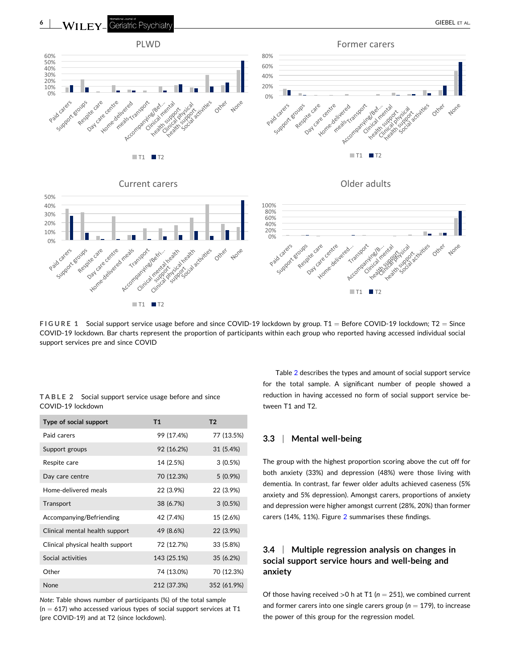<span id="page-5-0"></span>

**FIGURE 1** Social support service usage before and since COVID-19 lockdown by group. T1 = Before COVID-19 lockdown; T2 = Since COVID‐19 lockdown. Bar charts represent the proportion of participants within each group who reported having accessed individual social support services pre and since COVID

|                   | TABLE 2 Social support service usage before and since |  |  |  |
|-------------------|-------------------------------------------------------|--|--|--|
| COVID-19 lockdown |                                                       |  |  |  |

| Type of social support           | <b>T1</b>   | T <sub>2</sub> |
|----------------------------------|-------------|----------------|
| Paid carers                      | 99 (17.4%)  | 77 (13.5%)     |
| Support groups                   | 92 (16.2%)  | 31 (5.4%)      |
| Respite care                     | 14 (2.5%)   | 3(0.5%)        |
| Day care centre                  | 70 (12.3%)  | $5(0.9\%)$     |
| Home-delivered meals             | 22 (3.9%)   | 22 (3.9%)      |
| Transport                        | 38 (6.7%)   | 3(0.5%)        |
| Accompanying/Befriending         | 42 (7.4%)   | 15 (2.6%)      |
| Clinical mental health support   | 49 (8.6%)   | 22 (3.9%)      |
| Clinical physical health support | 72 (12.7%)  | 33 (5.8%)      |
| Social activities                | 143 (25.1%) | 35 (6.2%)      |
| Other                            | 74 (13.0%)  | 70 (12.3%)     |
| None                             | 212 (37.3%) | 352 (61.9%)    |

*Note*: Table shows number of participants (%) of the total sample  $(n = 617)$  who accessed various types of social support services at T1 (pre COVID‐19) and at T2 (since lockdown).

Table 2 describes the types and amount of social support service for the total sample. A significant number of people showed a reduction in having accessed no form of social support service between T1 and T2.

# **3.3** <sup>|</sup> **Mental well‐being**

The group with the highest proportion scoring above the cut off for both anxiety (33%) and depression (48%) were those living with dementia. In contrast, far fewer older adults achieved caseness (5% anxiety and 5% depression). Amongst carers, proportions of anxiety and depression were higher amongst current (28%, 20%) than former carers (14%, 11%). Figure [2](#page-6-0) summarises these findings.

# **3.4** <sup>|</sup> **Multiple regression analysis on changes in social support service hours and well‐being and anxiety**

Of those having received  $>0$  h at T1 ( $n = 251$ ), we combined current and former carers into one single carers group ( $n = 179$ ), to increase the power of this group for the regression model.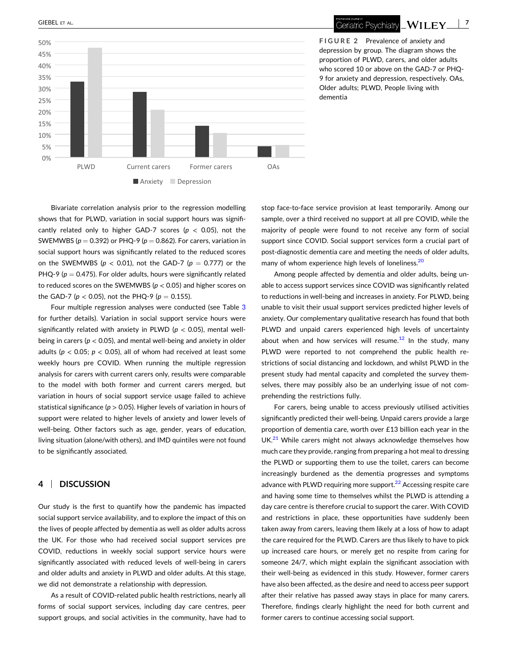

<span id="page-6-0"></span>

Geriatric Psychiatry **WILEY** 7

**FIGURE 2** Prevalence of anxiety and depression by group. The diagram shows the proportion of PLWD, carers, and older adults who scored 10 or above on the GAD‐7 or PHQ‐ 9 for anxiety and depression, respectively. OAs, Older adults; PLWD, People living with dementia

Bivariate correlation analysis prior to the regression modelling shows that for PLWD, variation in social support hours was significantly related only to higher GAD‐7 scores (*p* < 0.05), not the SWEMWBS ( $p = 0.392$ ) or PHQ-9 ( $p = 0.862$ ). For carers, variation in social support hours was significantly related to the reduced scores on the SWEMWBS ( $p < 0.01$ ), not the GAD-7 ( $p = 0.777$ ) or the PHQ-9 ( $p = 0.475$ ). For older adults, hours were significantly related to reduced scores on the SWEMWBS (*p* < 0.05) and higher scores on the GAD-7 ( $p < 0.05$ ), not the PHQ-9 ( $p = 0.155$ ).

Four multiple regression analyses were conducted (see Table [3](#page-7-0) for further details). Variation in social support service hours were significantly related with anxiety in PLWD ( $p < 0.05$ ), mental wellbeing in carers (*p* < 0.05), and mental well‐being and anxiety in older adults ( $p$  < 0.05;  $p$  < 0.05), all of whom had received at least some weekly hours pre COVID. When running the multiple regression analysis for carers with current carers only, results were comparable to the model with both former and current carers merged, but variation in hours of social support service usage failed to achieve statistical significance (*p* > 0.05). Higher levels of variation in hours of support were related to higher levels of anxiety and lower levels of well-being. Other factors such as age, gender, years of education, living situation (alone/with others), and IMD quintiles were not found to be significantly associated.

# **4** <sup>|</sup> **DISCUSSION**

Our study is the first to quantify how the pandemic has impacted social support service availability, and to explore the impact of this on the lives of people affected by dementia as well as older adults across the UK. For those who had received social support services pre COVID, reductions in weekly social support service hours were significantly associated with reduced levels of well-being in carers and older adults and anxiety in PLWD and older adults. At this stage, we did not demonstrate a relationship with depression.

As a result of COVID‐related public health restrictions, nearly all forms of social support services, including day care centres, peer support groups, and social activities in the community, have had to stop face-to-face service provision at least temporarily. Among our sample, over a third received no support at all pre COVID, while the majority of people were found to not receive any form of social support since COVID. Social support services form a crucial part of post‐diagnostic dementia care and meeting the needs of older adults, many of whom experience high levels of loneliness.<sup>20</sup>

Among people affected by dementia and older adults, being unable to access support services since COVID was significantly related to reductions in well‐being and increases in anxiety. For PLWD, being unable to visit their usual support services predicted higher levels of anxiety. Our complementary qualitative research has found that both PLWD and unpaid carers experienced high levels of uncertainty about when and how services will resume. $12$  In the study, many PLWD were reported to not comprehend the public health restrictions of social distancing and lockdown, and whilst PLWD in the present study had mental capacity and completed the survey themselves, there may possibly also be an underlying issue of not comprehending the restrictions fully.

For carers, being unable to access previously utilised activities significantly predicted their well‐being. Unpaid carers provide a large proportion of dementia care, worth over £13 billion each year in the  $UK.<sup>21</sup>$  $UK.<sup>21</sup>$  $UK.<sup>21</sup>$  While carers might not always acknowledge themselves how much care they provide, ranging from preparing a hot meal to dressing the PLWD or supporting them to use the toilet, carers can become increasingly burdened as the dementia progresses and symptoms advance with PLWD requiring more support. $^{22}$  Accessing respite care and having some time to themselves whilst the PLWD is attending a day care centre is therefore crucial to support the carer. With COVID and restrictions in place, these opportunities have suddenly been taken away from carers, leaving them likely at a loss of how to adapt the care required for the PLWD. Carers are thus likely to have to pick up increased care hours, or merely get no respite from caring for someone 24/7, which might explain the significant association with their well‐being as evidenced in this study. However, former carers have also been affected, as the desire and need to access peer support after their relative has passed away stays in place for many carers. Therefore, findings clearly highlight the need for both current and former carers to continue accessing social support.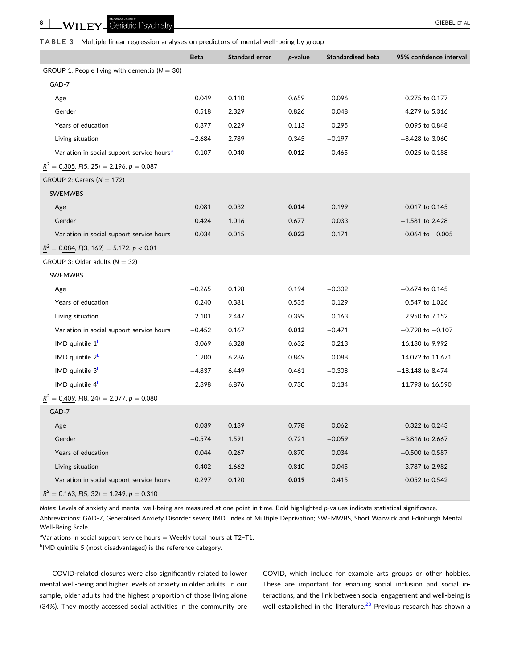<span id="page-7-0"></span>**8** | WILFY Geriatric Psychiatry **All and Structure Control** CIEBEL ET AL.

**TABLE 3** Multiple linear regression analyses on predictors of mental well‐being by group

|                                                        | <b>Beta</b> | Standard error | p-value | <b>Standardised beta</b> | 95% confidence interval |
|--------------------------------------------------------|-------------|----------------|---------|--------------------------|-------------------------|
| GROUP 1: People living with dementia ( $N = 30$ )      |             |                |         |                          |                         |
| GAD-7                                                  |             |                |         |                          |                         |
| Age                                                    | $-0.049$    | 0.110          | 0.659   | $-0.096$                 | $-0.275$ to 0.177       |
| Gender                                                 | 0.518       | 2.329          | 0.826   | 0.048                    | $-4.279$ to 5.316       |
| Years of education                                     | 0.377       | 0.229          | 0.113   | 0.295                    | $-0.095$ to 0.848       |
| Living situation                                       | $-2.684$    | 2.789          | 0.345   | $-0.197$                 | $-8.428$ to 3.060       |
| Variation in social support service hours <sup>a</sup> | 0.107       | 0.040          | 0.012   | 0.465                    | 0.025 to 0.188          |
| $R^2 = 0.305$ , $F(5, 25) = 2.196$ , $p = 0.087$       |             |                |         |                          |                         |
| GROUP 2: Carers ( $N = 172$ )                          |             |                |         |                          |                         |
| SWEMWBS                                                |             |                |         |                          |                         |
| Age                                                    | 0.081       | 0.032          | 0.014   | 0.199                    | 0.017 to 0.145          |
| Gender                                                 | 0.424       | 1.016          | 0.677   | 0.033                    | $-1.581$ to 2.428       |
| Variation in social support service hours              | $-0.034$    | 0.015          | 0.022   | $-0.171$                 | $-0.064$ to $-0.005$    |
| $R^2 = 0.084$ , $F(3, 169) = 5.172$ , $p < 0.01$       |             |                |         |                          |                         |
| GROUP 3: Older adults ( $N = 32$ )                     |             |                |         |                          |                         |
| SWEMWBS                                                |             |                |         |                          |                         |
| Age                                                    | $-0.265$    | 0.198          | 0.194   | $-0.302$                 | $-0.674$ to 0.145       |
| Years of education                                     | 0.240       | 0.381          | 0.535   | 0.129                    | $-0.547$ to 1.026       |
| Living situation                                       | 2.101       | 2.447          | 0.399   | 0.163                    | $-2.950$ to 7.152       |
| Variation in social support service hours              | $-0.452$    | 0.167          | 0.012   | $-0.471$                 | $-0.798$ to $-0.107$    |
| IMD quintile 1 <sup>b</sup>                            | $-3.069$    | 6.328          | 0.632   | $-0.213$                 | $-16.130$ to 9.992      |
| IMD quintile 2 <sup>b</sup>                            | $-1.200$    | 6.236          | 0.849   | $-0.088$                 | $-14.072$ to 11.671     |
| IMD quintile 3 <sup>b</sup>                            | $-4.837$    | 6.449          | 0.461   | $-0.308$                 | $-18.148$ to 8.474      |
| IMD quintile 4 <sup>b</sup>                            | 2.398       | 6.876          | 0.730   | 0.134                    | $-11.793$ to 16.590     |
| $R^2 = 0.409$ , $F(8, 24) = 2.077$ , $p = 0.080$       |             |                |         |                          |                         |
| GAD-7                                                  |             |                |         |                          |                         |
| Age                                                    | $-0.039$    | 0.139          | 0.778   | $-0.062$                 | $-0.322$ to 0.243       |
| Gender                                                 | $-0.574$    | 1.591          | 0.721   | $-0.059$                 | $-3.816$ to 2.667       |
| Years of education                                     | 0.044       | 0.267          | 0.870   | 0.034                    | $-0.500$ to 0.587       |
| Living situation                                       | $-0.402$    | 1.662          | 0.810   | $-0.045$                 | $-3.787$ to 2.982       |
| Variation in social support service hours              | 0.297       | 0.120          | 0.019   | 0.415                    | 0.052 to 0.542          |
| $R^2 = 0.163$ , $F(5, 32) = 1.249$ , $p = 0.310$       |             |                |         |                          |                         |

*Notes*: Levels of anxiety and mental well‐being are measured at one point in time. Bold highlighted *p*‐values indicate statistical significance.

Abbreviations: GAD‐7, Generalised Anxiety Disorder seven; IMD, Index of Multiple Deprivation; SWEMWBS, Short Warwick and Edinburgh Mental Well‐Being Scale.

<sup>a</sup>Variations in social support service hours  $=$  Weekly total hours at T2-T1.

<sup>b</sup>IMD quintile 5 (most disadvantaged) is the reference category.

COVID‐related closures were also significantly related to lower mental well‐being and higher levels of anxiety in older adults. In our sample, older adults had the highest proportion of those living alone (34%). They mostly accessed social activities in the community pre COVID, which include for example arts groups or other hobbies. These are important for enabling social inclusion and social interactions, and the link between social engagement and well‐being is well established in the literature.<sup>[23](#page-9-0)</sup> Previous research has shown a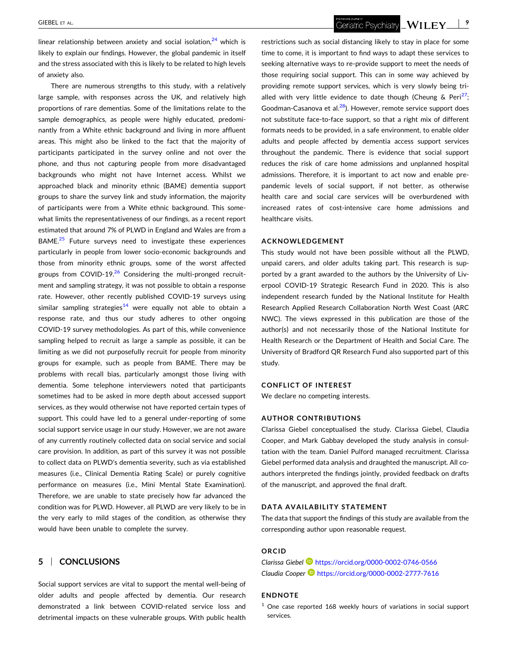<span id="page-8-0"></span>linear relationship between anxiety and social isolation, $24$  which is likely to explain our findings. However, the global pandemic in itself and the stress associated with this is likely to be related to high levels of anxiety also.

There are numerous strengths to this study, with a relatively large sample, with responses across the UK, and relatively high proportions of rare dementias. Some of the limitations relate to the sample demographics, as people were highly educated, predominantly from a White ethnic background and living in more affluent areas. This might also be linked to the fact that the majority of participants participated in the survey online and not over the phone, and thus not capturing people from more disadvantaged backgrounds who might not have Internet access. Whilst we approached black and minority ethnic (BAME) dementia support groups to share the survey link and study information, the majority of participants were from a White ethnic background. This somewhat limits the representativeness of our findings, as a recent report estimated that around 7% of PLWD in England and Wales are from a BAME.<sup>25</sup> Future surveys need to investigate these experiences particularly in people from lower socio‐economic backgrounds and those from minority ethnic groups, some of the worst affected groups from COVID-19. $26$  Considering the multi-pronged recruitment and sampling strategy, it was not possible to obtain a response rate. However, other recently published COVID‐19 surveys using similar sampling strategies<sup>14</sup> were equally not able to obtain a response rate, and thus our study adheres to other ongoing COVID‐19 survey methodologies. As part of this, while convenience sampling helped to recruit as large a sample as possible, it can be limiting as we did not purposefully recruit for people from minority groups for example, such as people from BAME. There may be problems with recall bias, particularly amongst those living with dementia. Some telephone interviewers noted that participants sometimes had to be asked in more depth about accessed support services, as they would otherwise not have reported certain types of support. This could have led to a general under-reporting of some social support service usage in our study. However, we are not aware of any currently routinely collected data on social service and social care provision. In addition, as part of this survey it was not possible to collect data on PLWD's dementia severity, such as via established measures (i.e., Clinical Dementia Rating Scale) or purely cognitive performance on measures (i.e., Mini Mental State Examination). Therefore, we are unable to state precisely how far advanced the condition was for PLWD. However, all PLWD are very likely to be in the very early to mild stages of the condition, as otherwise they would have been unable to complete the survey.

# **5** <sup>|</sup> **CONCLUSIONS**

Social support services are vital to support the mental well‐being of older adults and people affected by dementia. Our research demonstrated a link between COVID‐related service loss and detrimental impacts on these vulnerable groups. With public health restrictions such as social distancing likely to stay in place for some time to come, it is important to find ways to adapt these services to seeking alternative ways to re‐provide support to meet the needs of those requiring social support. This can in some way achieved by providing remote support services, which is very slowly being trialled with very little evidence to date though (Cheung & Peri<sup>27</sup>; Goodman-Casanova et al. $^{28}$ ). However, remote service support does not substitute face‐to‐face support, so that a right mix of different formats needs to be provided, in a safe environment, to enable older adults and people affected by dementia access support services throughout the pandemic. There is evidence that social support reduces the risk of care home admissions and unplanned hospital admissions. Therefore, it is important to act now and enable pre‐ pandemic levels of social support, if not better, as otherwise health care and social care services will be overburdened with increased rates of cost‐intensive care home admissions and healthcare visits.

## **ACKNOWLEDGEMENT**

This study would not have been possible without all the PLWD, unpaid carers, and older adults taking part. This research is supported by a grant awarded to the authors by the University of Liverpool COVID‐19 Strategic Research Fund in 2020. This is also independent research funded by the National Institute for Health Research Applied Research Collaboration North West Coast (ARC NWC). The views expressed in this publication are those of the author(s) and not necessarily those of the National Institute for Health Research or the Department of Health and Social Care. The University of Bradford QR Research Fund also supported part of this study.

#### **CONFLICT OF INTEREST**

We declare no competing interests.

#### **AUTHOR CONTRIBUTIONS**

Clarissa Giebel conceptualised the study. Clarissa Giebel, Claudia Cooper, and Mark Gabbay developed the study analysis in consultation with the team. Daniel Pulford managed recruitment. Clarissa Giebel performed data analysis and draughted the manuscript. All coauthors interpreted the findings jointly, provided feedback on drafts of the manuscript, and approved the final draft.

# **DATA AVAILABILITY STATEMENT**

The data that support the findings of this study are available from the corresponding author upon reasonable request.

#### **ORCID**

*Clarissa Giebel* <https://orcid.org/0000-0002-0746-0566> *Claudia Cooper* <https://orcid.org/0000-0002-2777-7616>

## **ENDNOTE**

<sup>1</sup> One case reported 168 weekly hours of variations in social support services.